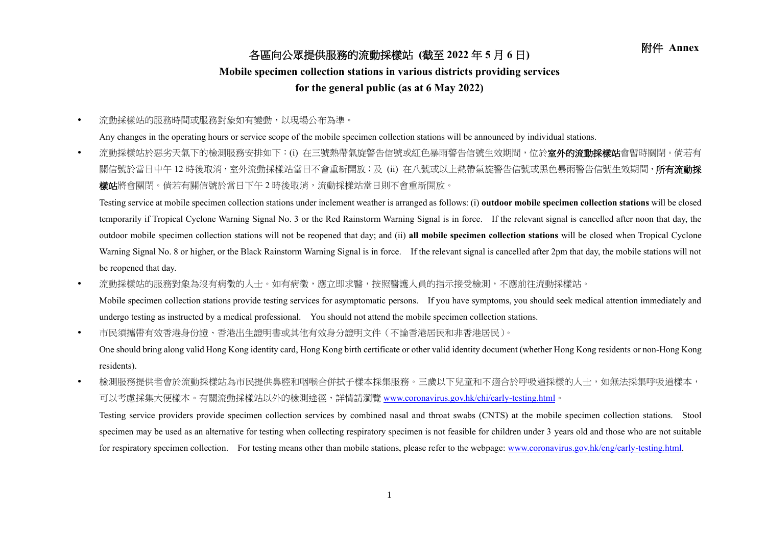## 附件 **Annex** 各區向公眾提供服務的流動採樣站 **(**截至 **<sup>2022</sup>** <sup>年</sup> **<sup>5</sup>** <sup>月</sup> **<sup>6</sup>** <sup>日</sup>**)**

## **Mobile specimen collection stations in various districts providing services**

## **for the general public (as at 6 May 2022)**

流動採樣站的服務時間或服務對象如有變動,以現場公布為準。

Any changes in the operating hours or service scope of the mobile specimen collection stations will be announced by individual stations.

• 流動採樣站於惡劣天氣下的檢測服務安排如下:(i) 在三號熱帶氣旋警告信號或紅色暴雨警告信號生效期間,位於**室外的流動採樣站**會暫時關閉。倘若有 關信號於當日中午 12 時後取消,室外流動採樣站當日不會重新開放;及 (ii) 在八號或以上熱帶氣旋警告信號或黑色暴雨警告信號生效期間,**所有流動採 樣站**將會關閉。倘若有關信號於當日下午2時後取消,流動採樣站當日則不會重新開放。

Testing service at mobile specimen collection stations under inclement weather is arranged as follows: (i) **outdoor mobile specimen collection stations** will be closed temporarily if Tropical Cyclone Warning Signal No. 3 or the Red Rainstorm Warning Signal is in force. If the relevant signal is cancelled after noon that day, the outdoor mobile specimen collection stations will not be reopened that day; and (ii) **all mobile specimen collection stations** will be closed when Tropical Cyclone Warning Signal No. 8 or higher, or the Black Rainstorm Warning Signal is in force. If the relevant signal is cancelled after 2pm that day, the mobile stations will not be reopened that day.

• 流動採樣站的服務對象為沒有病徵的人士。如有病徵,應立即求醫,按照醫護人員的指示接受檢測,不應前往流動採樣站。

Mobile specimen collection stations provide testing services for asymptomatic persons. If you have symptoms, you should seek medical attention immediately and undergo testing as instructed by a medical professional. You should not attend the mobile specimen collection stations.

市民須攜帶有效香港身份證、香港出生證明書或其他有效身分證明文件(不論香港居民和非香港居民)。

One should bring along valid Hong Kong identity card, Hong Kong birth certificate or other valid identity document (whether Hong Kong residents or non-Hong Kong residents).

• 檢測服務提供者會於流動採樣站為市民提供鼻腔和咽喉合併拭子樣本採集服務。三歲以下兒童和不適合於呼吸道採樣的人士,如無法採集呼吸道樣本, 可以考慮採集大便樣本。有關流動採樣站以外的檢測途徑,詳情請瀏覽 [www.coronavirus.gov.hk/chi/early-testing.html](http://www.coronavirus.gov.hk/chi/early-testing.html)。

Testing service providers provide specimen collection services by combined nasal and throat swabs (CNTS) at the mobile specimen collection stations. Stool specimen may be used as an alternative for testing when collecting respiratory specimen is not feasible for children under 3 years old and those who are not suitable for respiratory specimen collection. For testing means other than mobile stations, please refer to the webpage: [www.coronavirus.gov.hk/eng/early-testing.html.](http://www.coronavirus.gov.hk/eng/early-testing.html)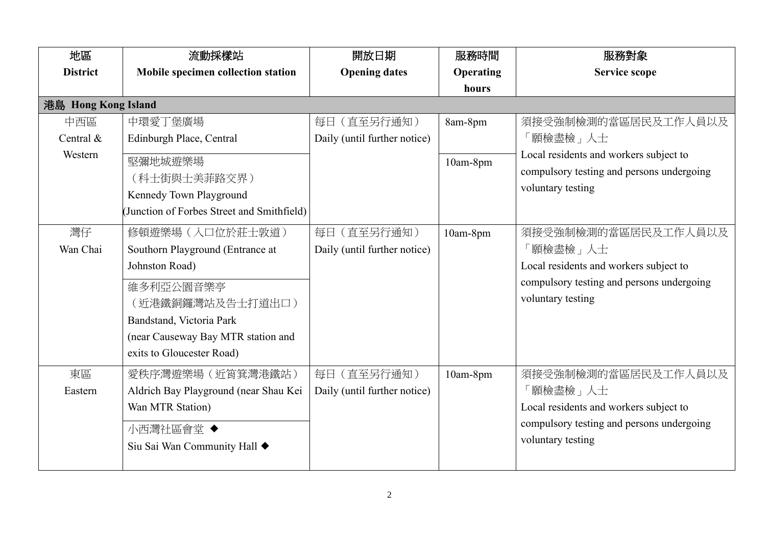| 地區                          | 流動採樣站                                                                                                                                                                                                  | 開放日期                                        | 服務時間                | 服務對象                                                                                                                                        |
|-----------------------------|--------------------------------------------------------------------------------------------------------------------------------------------------------------------------------------------------------|---------------------------------------------|---------------------|---------------------------------------------------------------------------------------------------------------------------------------------|
| <b>District</b>             | Mobile specimen collection station                                                                                                                                                                     | <b>Opening dates</b>                        | <b>Operating</b>    | <b>Service scope</b>                                                                                                                        |
|                             |                                                                                                                                                                                                        |                                             | hours               |                                                                                                                                             |
| 港島 Hong Kong Island         |                                                                                                                                                                                                        |                                             |                     |                                                                                                                                             |
| 中西區<br>Central &<br>Western | 中環愛丁堡廣場<br>Edinburgh Place, Central<br>堅彌地城遊樂場<br>(科士街與士美菲路交界)<br>Kennedy Town Playground<br>(Junction of Forbes Street and Smithfield)                                                                | 每日 (直至另行通知)<br>Daily (until further notice) | 8am-8pm<br>10am-8pm | 須接受強制檢測的當區居民及工作人員以及<br>「願檢盡檢」人士<br>Local residents and workers subject to<br>compulsory testing and persons undergoing<br>voluntary testing |
| 灣仔<br>Wan Chai              | 修頓遊樂場 (入口位於莊士敦道)<br>Southorn Playground (Entrance at<br>Johnston Road)<br>維多利亞公園音樂亭<br>(近港鐵銅鑼灣站及告士打道出口)<br>Bandstand, Victoria Park<br>(near Causeway Bay MTR station and<br>exits to Gloucester Road) | 每日 (直至另行通知)<br>Daily (until further notice) | 10am-8pm            | 須接受強制檢測的當區居民及工作人員以及<br>願檢盡檢」人士<br>Local residents and workers subject to<br>compulsory testing and persons undergoing<br>voluntary testing  |
| 東區<br>Eastern               | 愛秩序灣遊樂場 (近筲箕灣港鐵站)<br>Aldrich Bay Playground (near Shau Kei<br>Wan MTR Station)<br>小西灣社區會堂 ◆<br>Siu Sai Wan Community Hall ◆                                                                            | 每日 (直至另行通知)<br>Daily (until further notice) | 10am-8pm            | 須接受強制檢測的當區居民及工作人員以及<br>「願檢盡檢」人士<br>Local residents and workers subject to<br>compulsory testing and persons undergoing<br>voluntary testing |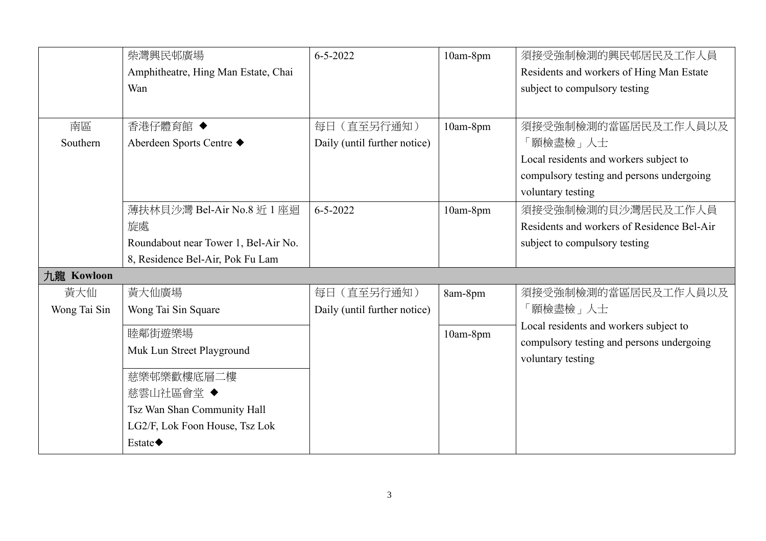|              | 柴灣興民邨廣場                              | $6 - 5 - 2022$               | 10am-8pm | 須接受強制檢測的興民邨居民及工作人員                         |
|--------------|--------------------------------------|------------------------------|----------|--------------------------------------------|
|              | Amphitheatre, Hing Man Estate, Chai  |                              |          | Residents and workers of Hing Man Estate   |
|              | Wan                                  |                              |          | subject to compulsory testing              |
|              |                                      |                              |          |                                            |
| 南區           | 香港仔體育館 ◆                             | 每日 (直至另行通知)                  | 10am-8pm | 須接受強制檢測的當區居民及工作人員以及                        |
| Southern     | Aberdeen Sports Centre ◆             | Daily (until further notice) |          | 「願檢盡檢」人士                                   |
|              |                                      |                              |          | Local residents and workers subject to     |
|              |                                      |                              |          | compulsory testing and persons undergoing  |
|              |                                      |                              |          | voluntary testing                          |
|              | 薄扶林貝沙灣 Bel-Air No.8 近 1 座迴           | $6 - 5 - 2022$               | 10am-8pm | 須接受強制檢測的貝沙灣居民及工作人員                         |
|              | 旋處                                   |                              |          | Residents and workers of Residence Bel-Air |
|              | Roundabout near Tower 1, Bel-Air No. |                              |          | subject to compulsory testing              |
|              | 8, Residence Bel-Air, Pok Fu Lam     |                              |          |                                            |
| 九龍 Kowloon   |                                      |                              |          |                                            |
| 黃大仙          | 黃大仙廣場                                | 每日 (直至另行通知)                  | 8am-8pm  | 須接受強制檢測的當區居民及工作人員以及                        |
| Wong Tai Sin | Wong Tai Sin Square                  | Daily (until further notice) |          | 「願檢盡檢」人士                                   |
|              | 睦鄰街遊樂場                               |                              | 10am-8pm | Local residents and workers subject to     |
|              | Muk Lun Street Playground            |                              |          | compulsory testing and persons undergoing  |
|              |                                      |                              |          | voluntary testing                          |
|              | 慈樂邨樂歡樓底層二樓                           |                              |          |                                            |
|              | 慈雲山社區會堂◆                             |                              |          |                                            |
|              | Tsz Wan Shan Community Hall          |                              |          |                                            |
|              | LG2/F, Lok Foon House, Tsz Lok       |                              |          |                                            |
|              | Estate $\blacklozenge$               |                              |          |                                            |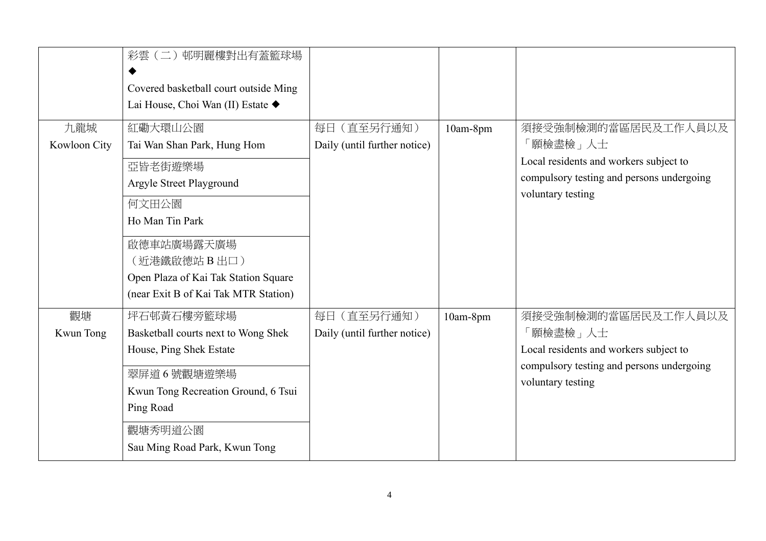|                     | 彩雲(二)邨明麗樓對出有蓋籃球場<br>Covered basketball court outside Ming<br>Lai House, Choi Wan (II) Estate ◆                                                                                                                          |                                             |          |                                                                                                                                              |
|---------------------|-------------------------------------------------------------------------------------------------------------------------------------------------------------------------------------------------------------------------|---------------------------------------------|----------|----------------------------------------------------------------------------------------------------------------------------------------------|
| 九龍城<br>Kowloon City | 紅磡大環山公園<br>Tai Wan Shan Park, Hung Hom<br>亞皆老街遊樂場<br>Argyle Street Playground<br>何文田公園<br>Ho Man Tin Park<br>啟德車站廣場露天廣場<br>(近港鐵啟德站 B出口)<br>Open Plaza of Kai Tak Station Square<br>(near Exit B of Kai Tak MTR Station) | 每日 (直至另行通知)<br>Daily (until further notice) | 10am-8pm | 須接受強制檢測的當區居民及工作人員以及<br>[願檢盡檢」 人士<br>Local residents and workers subject to<br>compulsory testing and persons undergoing<br>voluntary testing |
| 觀塘<br>Kwun Tong     | 坪石邨黃石樓旁籃球場<br>Basketball courts next to Wong Shek<br>House, Ping Shek Estate<br>翠屏道6號觀塘遊樂場<br>Kwun Tong Recreation Ground, 6 Tsui<br>Ping Road<br>觀塘秀明道公園<br>Sau Ming Road Park, Kwun Tong                              | 每日 (直至另行通知)<br>Daily (until further notice) | 10am-8pm | 須接受強制檢測的當區居民及工作人員以及<br>願檢盡檢」人士<br>Local residents and workers subject to<br>compulsory testing and persons undergoing<br>voluntary testing   |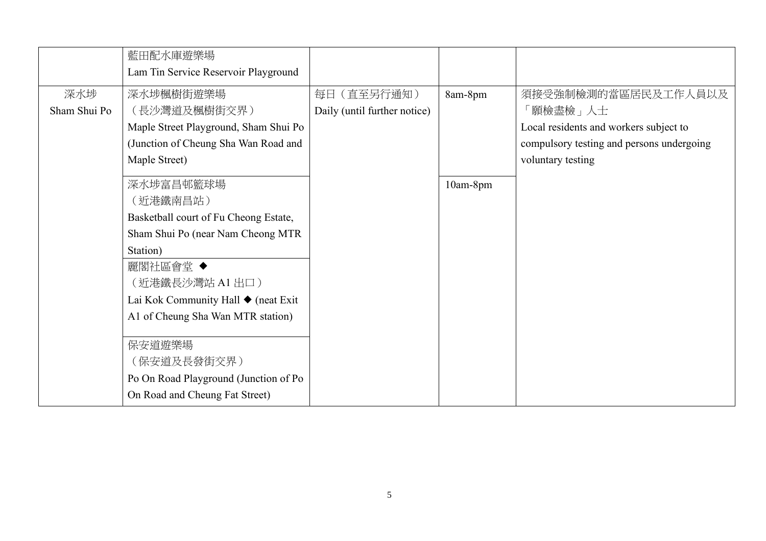|              | 藍田配水庫遊樂場                              |                              |          |                                           |
|--------------|---------------------------------------|------------------------------|----------|-------------------------------------------|
|              | Lam Tin Service Reservoir Playground  |                              |          |                                           |
| 深水埗          | 深水埗楓樹街遊樂場                             | 每日 (直至另行通知)                  | 8am-8pm  | 須接受強制檢測的當區居民及工作人員以及                       |
| Sham Shui Po | (長沙灣道及楓樹街交界)                          | Daily (until further notice) |          | 「願檢盡檢」人士                                  |
|              | Maple Street Playground, Sham Shui Po |                              |          | Local residents and workers subject to    |
|              | (Junction of Cheung Sha Wan Road and  |                              |          | compulsory testing and persons undergoing |
|              | Maple Street)                         |                              |          | voluntary testing                         |
|              | 深水埗富昌邨籃球場                             |                              | 10am-8pm |                                           |
|              | (近港鐵南昌站)                              |                              |          |                                           |
|              | Basketball court of Fu Cheong Estate, |                              |          |                                           |
|              | Sham Shui Po (near Nam Cheong MTR     |                              |          |                                           |
|              | Station)                              |                              |          |                                           |
|              | 麗閣社區會堂 ◆                              |                              |          |                                           |
|              | (近港鐵長沙灣站 A1 出口)                       |                              |          |                                           |
|              | Lai Kok Community Hall ♦ (neat Exit   |                              |          |                                           |
|              | A1 of Cheung Sha Wan MTR station)     |                              |          |                                           |
|              | 保安道遊樂場                                |                              |          |                                           |
|              | (保安道及長發街交界)                           |                              |          |                                           |
|              | Po On Road Playground (Junction of Po |                              |          |                                           |
|              | On Road and Cheung Fat Street)        |                              |          |                                           |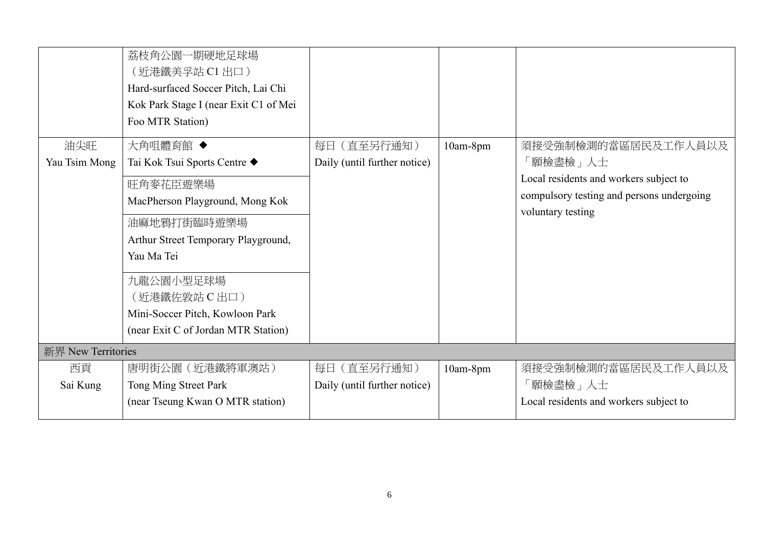|                    | 荔枝角公園一期硬地足球場<br>(近港鐵美孚站 C1 出口)<br>Hard-surfaced Soccer Pitch, Lai Chi<br>Kok Park Stage I (near Exit C1 of Mei<br>Foo MTR Station) |                              |            |                                                                |
|--------------------|------------------------------------------------------------------------------------------------------------------------------------|------------------------------|------------|----------------------------------------------------------------|
| 油尖旺                | 大角咀體育館 ◆                                                                                                                           | 每日 (直至另行通知)                  | 10am-8pm   | 須接受強制檢測的當區居民及工作人員以及                                            |
| Yau Tsim Mong      | Tai Kok Tsui Sports Centre ◆                                                                                                       | Daily (until further notice) |            | 「願檢盡檢」人士                                                       |
|                    | 旺角麥花臣遊樂場                                                                                                                           |                              |            | Local residents and workers subject to                         |
|                    | MacPherson Playground, Mong Kok                                                                                                    |                              |            | compulsory testing and persons undergoing<br>voluntary testing |
|                    | 油麻地鴉打街臨時遊樂場                                                                                                                        |                              |            |                                                                |
|                    | Arthur Street Temporary Playground,                                                                                                |                              |            |                                                                |
|                    | Yau Ma Tei                                                                                                                         |                              |            |                                                                |
|                    | 九龍公園小型足球場                                                                                                                          |                              |            |                                                                |
|                    | (近港鐵佐敦站 C 出口)                                                                                                                      |                              |            |                                                                |
|                    | Mini-Soccer Pitch, Kowloon Park                                                                                                    |                              |            |                                                                |
|                    | (near Exit C of Jordan MTR Station)                                                                                                |                              |            |                                                                |
| 新界 New Territories |                                                                                                                                    |                              |            |                                                                |
| 西貢                 | 唐明街公園(近港鐵將軍澳站)                                                                                                                     | 每日(直至另行通知)                   | $10am-8pm$ | 須接受強制檢測的當區居民及工作人員以及                                            |
| Sai Kung           | Tong Ming Street Park                                                                                                              | Daily (until further notice) |            | 「願檢盡檢」人士                                                       |
|                    | (near Tseung Kwan O MTR station)                                                                                                   |                              |            | Local residents and workers subject to                         |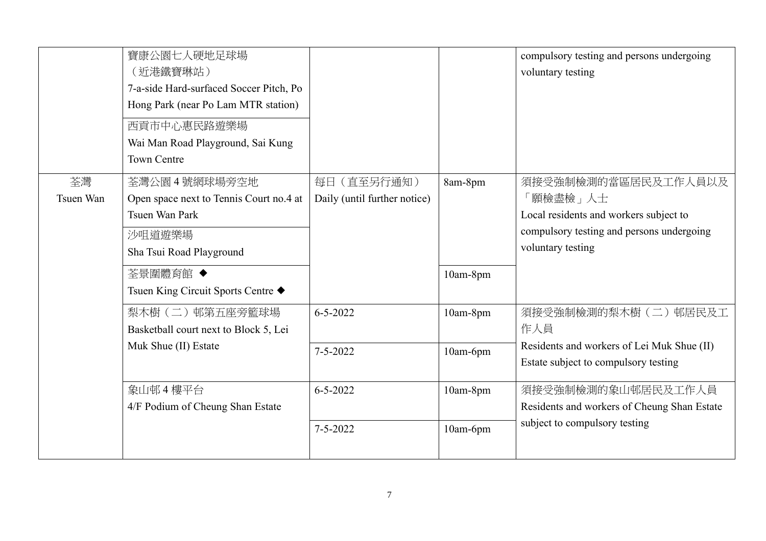|                 | 寶康公園七人硬地足球場<br>(近港鐵寶琳站)<br>7-a-side Hard-surfaced Soccer Pitch, Po<br>Hong Park (near Po Lam MTR station)<br>西貢市中心惠民路遊樂場<br>Wai Man Road Playground, Sai Kung<br><b>Town Centre</b> |                                             |                      | compulsory testing and persons undergoing<br>voluntary testing                                                                              |
|-----------------|-------------------------------------------------------------------------------------------------------------------------------------------------------------------------------------|---------------------------------------------|----------------------|---------------------------------------------------------------------------------------------------------------------------------------------|
| 荃灣<br>Tsuen Wan | 荃灣公園 4號網球場旁空地<br>Open space next to Tennis Court no.4 at<br>Tsuen Wan Park<br>沙咀道遊樂場<br>Sha Tsui Road Playground<br>荃景圍體育館 ◆<br>Tsuen King Circuit Sports Centre ◆                  | 每日 (直至另行通知)<br>Daily (until further notice) | 8am-8pm<br>10am-8pm  | 須接受強制檢測的當區居民及工作人員以及<br>「願檢盡檢」人士<br>Local residents and workers subject to<br>compulsory testing and persons undergoing<br>voluntary testing |
|                 | 梨木樹 (二) 邨第五座旁籃球場<br>Basketball court next to Block 5, Lei<br>Muk Shue (II) Estate                                                                                                   | $6 - 5 - 2022$<br>$7 - 5 - 2022$            | 10am-8pm<br>10am-6pm | 須接受強制檢測的梨木樹(二)邨居民及工<br>作人員<br>Residents and workers of Lei Muk Shue (II)<br>Estate subject to compulsory testing                            |
|                 | 象山邨 4 樓平台<br>4/F Podium of Cheung Shan Estate                                                                                                                                       | $6 - 5 - 2022$<br>$7 - 5 - 2022$            | 10am-8pm<br>10am-6pm | 須接受強制檢測的象山邨居民及工作人員<br>Residents and workers of Cheung Shan Estate<br>subject to compulsory testing                                          |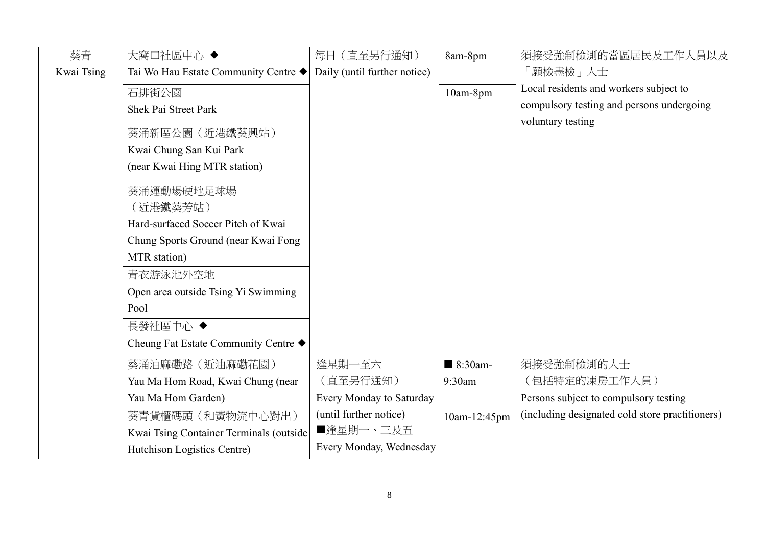| 葵青         | 大窩口社區中心◆                                | 每日 (直至另行通知)                  | 8am-8pm                | 須接受強制檢測的當區居民及工作人員以及                             |
|------------|-----------------------------------------|------------------------------|------------------------|-------------------------------------------------|
| Kwai Tsing | Tai Wo Hau Estate Community Centre ◆    | Daily (until further notice) |                        | 「願檢盡檢」人士                                        |
|            | 石排街公園                                   |                              | 10am-8pm               | Local residents and workers subject to          |
|            | Shek Pai Street Park                    |                              |                        | compulsory testing and persons undergoing       |
|            |                                         |                              |                        | voluntary testing                               |
|            | 葵涌新區公園 (近港鐵葵興站)                         |                              |                        |                                                 |
|            | Kwai Chung San Kui Park                 |                              |                        |                                                 |
|            | (near Kwai Hing MTR station)            |                              |                        |                                                 |
|            | 葵涌運動場硬地足球場                              |                              |                        |                                                 |
|            | (近港鐵葵芳站)                                |                              |                        |                                                 |
|            | Hard-surfaced Soccer Pitch of Kwai      |                              |                        |                                                 |
|            | Chung Sports Ground (near Kwai Fong     |                              |                        |                                                 |
|            | MTR station)                            |                              |                        |                                                 |
|            | 青衣游泳池外空地                                |                              |                        |                                                 |
|            | Open area outside Tsing Yi Swimming     |                              |                        |                                                 |
|            | Pool                                    |                              |                        |                                                 |
|            | 長發社區中心 ◆                                |                              |                        |                                                 |
|            | Cheung Fat Estate Community Centre ◆    |                              |                        |                                                 |
|            | 葵涌油麻磡路 (近油麻磡花園)                         | 逢星期一至六                       | $\blacksquare$ 8:30am- | 須接受強制檢測的人士                                      |
|            | Yau Ma Hom Road, Kwai Chung (near       | (直至另行通知)                     | 9:30am                 | (包括特定的凍房工作人員)                                   |
|            | Yau Ma Hom Garden)                      | Every Monday to Saturday     |                        | Persons subject to compulsory testing           |
|            | 葵青貨櫃碼頭 (和黃物流中心對出)                       | (until further notice)       | 10am-12:45pm           | (including designated cold store practitioners) |
|            | Kwai Tsing Container Terminals (outside | ■逢星期一、三及五                    |                        |                                                 |
|            | Hutchison Logistics Centre)             | Every Monday, Wednesday      |                        |                                                 |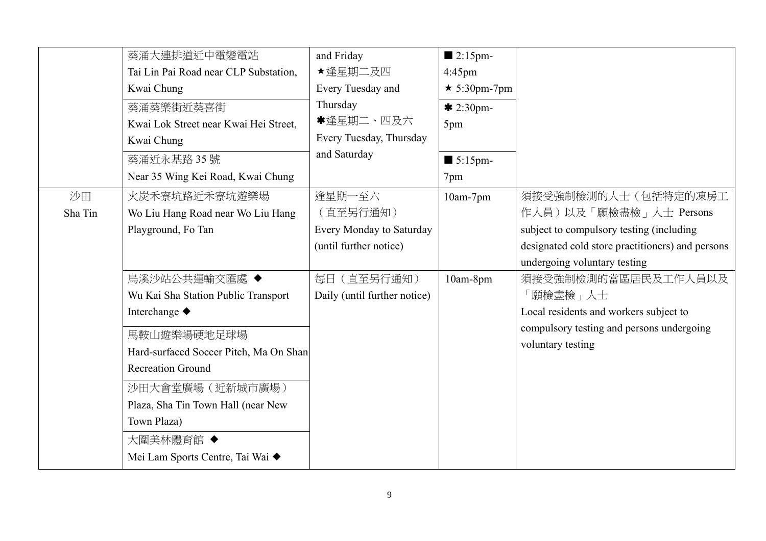|               | 葵涌大連排道近中電變電站<br>Tai Lin Pai Road near CLP Substation,<br>Kwai Chung<br>葵涌葵樂街近葵喜街<br>Kwai Lok Street near Kwai Hei Street,<br>Kwai Chung<br>葵涌近永基路35號<br>Near 35 Wing Kei Road, Kwai Chung                                                                                            | and Friday<br>★逢星期二及四<br>Every Tuesday and<br>Thursday<br>*逢星期二、四及六<br>Every Tuesday, Thursday<br>and Saturday | $\blacksquare$ 2:15pm-<br>$4:45$ pm<br>$\star$ 5:30pm-7pm<br>$* 2:30$ pm-<br>5pm<br>$\blacksquare$ 5:15pm-<br>7pm |                                                                                                                                                                               |
|---------------|--------------------------------------------------------------------------------------------------------------------------------------------------------------------------------------------------------------------------------------------------------------------------------------|----------------------------------------------------------------------------------------------------------------|-------------------------------------------------------------------------------------------------------------------|-------------------------------------------------------------------------------------------------------------------------------------------------------------------------------|
| 沙田<br>Sha Tin | 火炭禾寮坑路近禾寮坑遊樂場<br>Wo Liu Hang Road near Wo Liu Hang<br>Playground, Fo Tan                                                                                                                                                                                                             | 逢星期一至六<br>(直至另行通知)<br>Every Monday to Saturday<br>(until further notice)                                       | 10am-7pm                                                                                                          | 須接受強制檢測的人士(包括特定的凍房工<br>作人員)以及「願檢盡檢」人士 Persons<br>subject to compulsory testing (including<br>designated cold store practitioners) and persons<br>undergoing voluntary testing |
|               | 烏溪沙站公共運輸交匯處 ◆<br>Wu Kai Sha Station Public Transport<br>Interchange ◆<br>馬鞍山遊樂場硬地足球場<br>Hard-surfaced Soccer Pitch, Ma On Shan<br><b>Recreation Ground</b><br>沙田大會堂廣場 (近新城市廣場)<br>Plaza, Sha Tin Town Hall (near New<br>Town Plaza)<br>大圍美林體育館 ◆<br>Mei Lam Sports Centre, Tai Wai ◆ | 每日 (直至另行通知)<br>Daily (until further notice)                                                                    | 10am-8pm                                                                                                          | 須接受強制檢測的當區居民及工作人員以及<br>「願檢盡檢」人士<br>Local residents and workers subject to<br>compulsory testing and persons undergoing<br>voluntary testing                                   |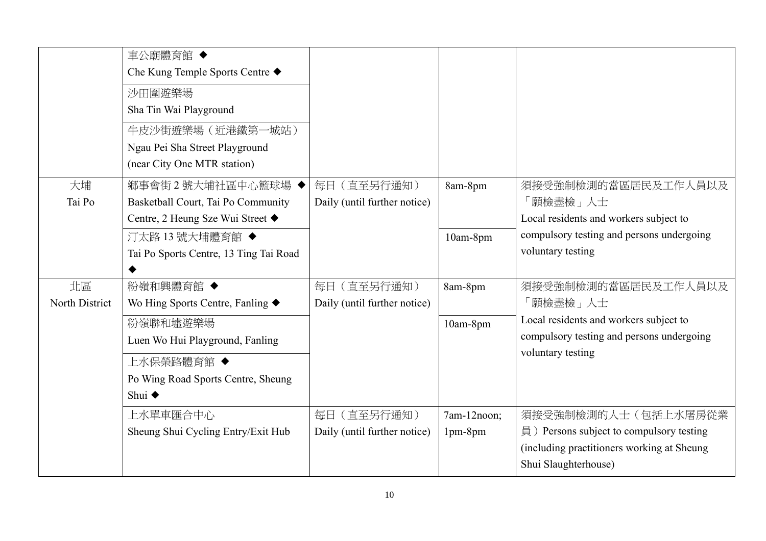|                      | 車公廟體育館 ◆<br>Che Kung Temple Sports Centre ◆<br>沙田圍遊樂場<br>Sha Tin Wai Playground<br>牛皮沙街遊樂場 (近港鐵第一城站)<br>Ngau Pei Sha Street Playground<br>(near City One MTR station) |                                                |                        |                                                                                                                                                 |
|----------------------|-----------------------------------------------------------------------------------------------------------------------------------------------------------------------|------------------------------------------------|------------------------|-------------------------------------------------------------------------------------------------------------------------------------------------|
| 大埔<br>Tai Po         | 鄉事會街2號大埔社區中心籃球場◆<br>Basketball Court, Tai Po Community<br>Centre, 2 Heung Sze Wui Street ◆                                                                            | (直至另行通知)<br>每日<br>Daily (until further notice) | 8am-8pm                | 須接受強制檢測的當區居民及工作人員以及<br>「願檢盡檢」人士<br>Local residents and workers subject to                                                                       |
|                      | 汀太路 13號大埔體育館◆<br>Tai Po Sports Centre, 13 Ting Tai Road                                                                                                               |                                                | 10am-8pm               | compulsory testing and persons undergoing<br>voluntary testing                                                                                  |
| 北區<br>North District | 粉嶺和興體育館 ◆<br>Wo Hing Sports Centre, Fanling $\blacklozenge$                                                                                                           | 每日 (直至另行通知)<br>Daily (until further notice)    | 8am-8pm                | 須接受強制檢測的當區居民及工作人員以及<br>「願檢盡檢」人士                                                                                                                 |
|                      | 粉嶺聯和墟遊樂場<br>Luen Wo Hui Playground, Fanling                                                                                                                           |                                                | 10am-8pm               | Local residents and workers subject to<br>compulsory testing and persons undergoing<br>voluntary testing                                        |
|                      | 上水保榮路體育館 ◆<br>Po Wing Road Sports Centre, Sheung<br>Shui ◆                                                                                                            |                                                |                        |                                                                                                                                                 |
|                      | 上水單車匯合中心<br>Sheung Shui Cycling Entry/Exit Hub                                                                                                                        | 每日 (直至另行通知)<br>Daily (until further notice)    | 7am-12noon;<br>1pm-8pm | 須接受強制檢測的人士(包括上水屠房從業<br>$\exists$ ) Persons subject to compulsory testing<br>(including practitioners working at Sheung)<br>Shui Slaughterhouse) |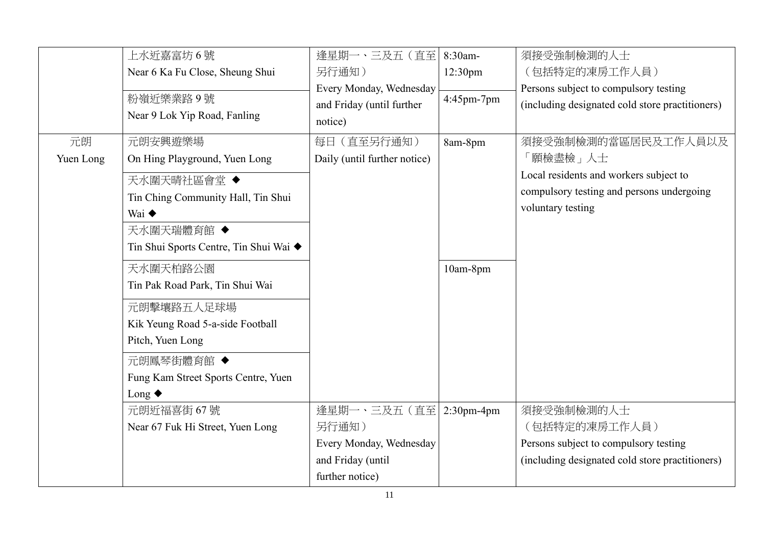|           | 上水近嘉富坊6號                               | 逢星期一、三及五 (直至)                | 8:30am-             | 須接受強制檢測的人士                                      |
|-----------|----------------------------------------|------------------------------|---------------------|-------------------------------------------------|
|           | Near 6 Ka Fu Close, Sheung Shui        | 另行通知)                        | 12:30 <sub>pm</sub> | (包括特定的凍房工作人員)                                   |
|           |                                        | Every Monday, Wednesday      |                     | Persons subject to compulsory testing           |
|           | 粉嶺近樂業路9號                               | and Friday (until further    | 4:45pm-7pm          | (including designated cold store practitioners) |
|           | Near 9 Lok Yip Road, Fanling           | notice)                      |                     |                                                 |
| 元朗        | 元朗安興遊樂場                                | 每日 (直至另行通知)                  | 8am-8pm             | 須接受強制檢測的當區居民及工作人員以及                             |
| Yuen Long | On Hing Playground, Yuen Long          | Daily (until further notice) |                     | 「願檢盡檢」人士                                        |
|           | 天水圍天晴社區會堂 ◆                            |                              |                     | Local residents and workers subject to          |
|           | Tin Ching Community Hall, Tin Shui     |                              |                     | compulsory testing and persons undergoing       |
|           | Wai $\blacklozenge$                    |                              |                     | voluntary testing                               |
|           | 天水圍天瑞體育館 ◆                             |                              |                     |                                                 |
|           | Tin Shui Sports Centre, Tin Shui Wai ◆ |                              |                     |                                                 |
|           |                                        |                              |                     |                                                 |
|           | 天水圍天柏路公園                               |                              | 10am-8pm            |                                                 |
|           | Tin Pak Road Park, Tin Shui Wai        |                              |                     |                                                 |
|           | 元朗擊壤路五人足球場                             |                              |                     |                                                 |
|           | Kik Yeung Road 5-a-side Football       |                              |                     |                                                 |
|           | Pitch, Yuen Long                       |                              |                     |                                                 |
|           | 元朗鳳琴街體育館 ◆                             |                              |                     |                                                 |
|           | Fung Kam Street Sports Centre, Yuen    |                              |                     |                                                 |
|           | Long $\blacklozenge$                   |                              |                     |                                                 |
|           | 元朗近福喜街 67號                             | 逢星期一、三及五 (直至 2:30pm-4pm      |                     | 須接受強制檢測的人士                                      |
|           | Near 67 Fuk Hi Street, Yuen Long       | 另行通知)                        |                     | (包括特定的凍房工作人員)                                   |
|           |                                        | Every Monday, Wednesday      |                     | Persons subject to compulsory testing           |
|           |                                        | and Friday (until            |                     | (including designated cold store practitioners) |
|           |                                        | further notice)              |                     |                                                 |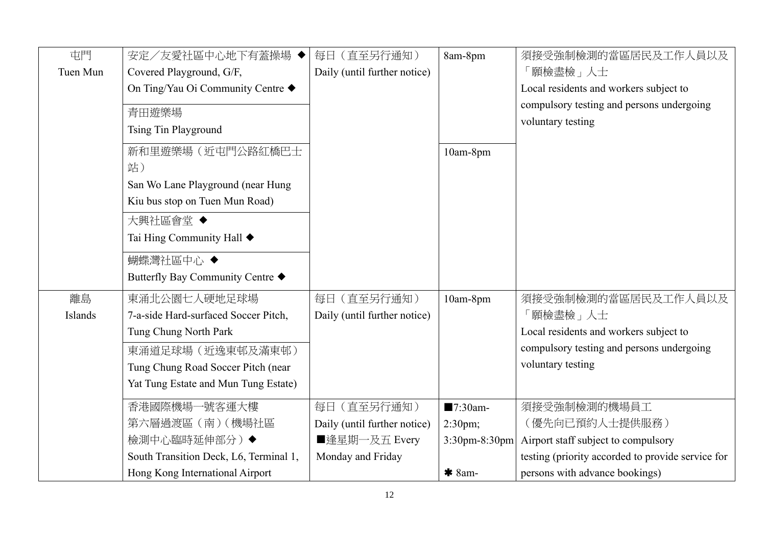| 屯門       | 安定/友愛社區中心地下有蓋操場 ◆                      | 每日 (直至另行通知)                  | 8am-8pm          | 須接受強制檢測的當區居民及工作人員以及                               |
|----------|----------------------------------------|------------------------------|------------------|---------------------------------------------------|
| Tuen Mun | Covered Playground, G/F,               | Daily (until further notice) |                  | 「願檢盡檢」人士                                          |
|          | On Ting/Yau Oi Community Centre ◆      |                              |                  | Local residents and workers subject to            |
|          | 青田遊樂場                                  |                              |                  | compulsory testing and persons undergoing         |
|          | Tsing Tin Playground                   |                              |                  | voluntary testing                                 |
|          |                                        |                              |                  |                                                   |
|          | 新和里遊樂場(近屯門公路紅橋巴士                       |                              | 10am-8pm         |                                                   |
|          | 站)                                     |                              |                  |                                                   |
|          | San Wo Lane Playground (near Hung      |                              |                  |                                                   |
|          | Kiu bus stop on Tuen Mun Road)         |                              |                  |                                                   |
|          | 大興社區會堂◆                                |                              |                  |                                                   |
|          | Tai Hing Community Hall ◆              |                              |                  |                                                   |
|          | 蝴蝶灣社區中心 ◆                              |                              |                  |                                                   |
|          | Butterfly Bay Community Centre ◆       |                              |                  |                                                   |
| 離島       | 東涌北公園七人硬地足球場                           | 每日 (直至另行通知)                  | 10am-8pm         | 須接受強制檢測的當區居民及工作人員以及                               |
| Islands  | 7-a-side Hard-surfaced Soccer Pitch,   | Daily (until further notice) |                  | 願檢盡檢」人士                                           |
|          | Tung Chung North Park                  |                              |                  | Local residents and workers subject to            |
|          | 東涌道足球場 (近逸東邨及滿東邨)                      |                              |                  | compulsory testing and persons undergoing         |
|          | Tung Chung Road Soccer Pitch (near     |                              |                  | voluntary testing                                 |
|          | Yat Tung Estate and Mun Tung Estate)   |                              |                  |                                                   |
|          | 香港國際機場一號客運大樓                           | 每日 (直至另行通知)                  | ■7:30am-         | 須接受強制檢測的機場員工                                      |
|          | 第六層過渡區 (南) (機場社區                       | Daily (until further notice) | $2:30$ pm;       | (優先向已預約人士提供服務)                                    |
|          | 檢測中心臨時延伸部分)◆                           | ■逢星期一及五 Every                | $3:30$ pm-8:30pm | Airport staff subject to compulsory               |
|          | South Transition Deck, L6, Terminal 1, | Monday and Friday            |                  | testing (priority accorded to provide service for |
|          | Hong Kong International Airport        |                              | $*$ 8am-         | persons with advance bookings)                    |